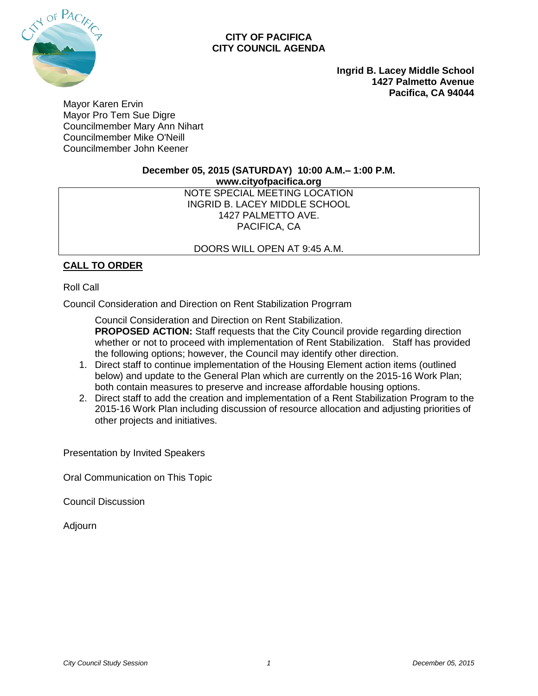

#### **CITY OF PACIFICA CITY COUNCIL AGENDA**

**Ingrid B. Lacey Middle School 1427 Palmetto Avenue Pacifica, CA 94044**

Mayor Karen Ervin Mayor Pro Tem Sue Digre Councilmember Mary Ann Nihart Councilmember Mike O'Neill Councilmember John Keener

#### **December 05, 2015 (SATURDAY) 10:00 A.M.– 1:00 P.M.**

**www.cityofpacifica.org**

NOTE SPECIAL MEETING LOCATION INGRID B. LACEY MIDDLE SCHOOL 1427 PALMETTO AVE. PACIFICA, CA

## DOORS WILL OPEN AT 9:45 A.M.

# **CALL TO ORDER**

#### Roll Call

Council Consideration and Direction on Rent Stabilization Progrram

Council Consideration and Direction on Rent Stabilization. **PROPOSED ACTION:** Staff requests that the City Council provide regarding direction whether or not to proceed with implementation of Rent Stabilization. Staff has provided the following options; however, the Council may identify other direction.

- 1. Direct staff to continue implementation of the Housing Element action items (outlined below) and update to the General Plan which are currently on the 2015-16 Work Plan; both contain measures to preserve and increase affordable housing options.
- 2. Direct staff to add the creation and implementation of a Rent Stabilization Program to the 2015-16 Work Plan including discussion of resource allocation and adjusting priorities of other projects and initiatives.

Presentation by Invited Speakers

Oral Communication on This Topic

Council Discussion

Adjourn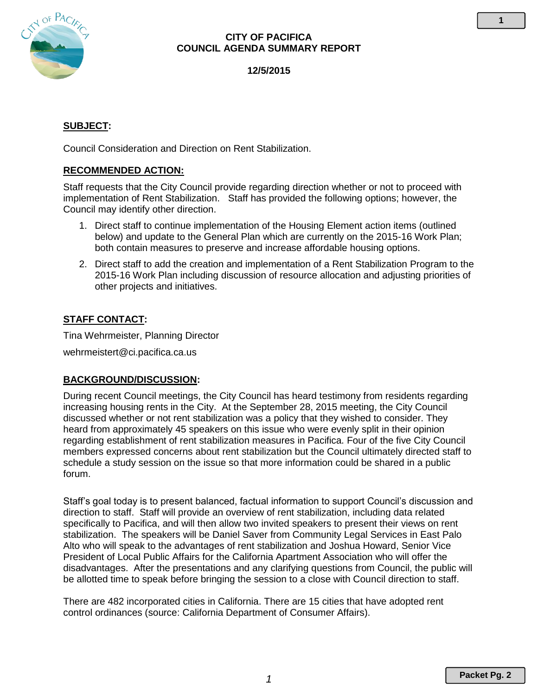

## **CITY OF PACIFICA COUNCIL AGENDA SUMMARY REPORT**

**12/5/2015**

# **SUBJECT:**

Council Consideration and Direction on Rent Stabilization.

## **RECOMMENDED ACTION:**

Staff requests that the City Council provide regarding direction whether or not to proceed with implementation of Rent Stabilization. Staff has provided the following options; however, the Council may identify other direction.

- 1. Direct staff to continue implementation of the Housing Element action items (outlined below) and update to the General Plan which are currently on the 2015-16 Work Plan; both contain measures to preserve and increase affordable housing options.
- 2. Direct staff to add the creation and implementation of a Rent Stabilization Program to the 2015-16 Work Plan including discussion of resource allocation and adjusting priorities of other projects and initiatives.

## **STAFF CONTACT:**

Tina Wehrmeister, Planning Director

wehrmeistert@ci.pacifica.ca.us

#### **BACKGROUND/DISCUSSION:**

During recent Council meetings, the City Council has heard testimony from residents regarding increasing housing rents in the City. At the September 28, 2015 meeting, the City Council discussed whether or not rent stabilization was a policy that they wished to consider. They heard from approximately 45 speakers on this issue who were evenly split in their opinion regarding establishment of rent stabilization measures in Pacifica. Four of the five City Council members expressed concerns about rent stabilization but the Council ultimately directed staff to schedule a study session on the issue so that more information could be shared in a public forum.

Staff's goal today is to present balanced, factual information to support Council's discussion and direction to staff. Staff will provide an overview of rent stabilization, including data related specifically to Pacifica, and will then allow two invited speakers to present their views on rent stabilization. The speakers will be Daniel Saver from Community Legal Services in East Palo Alto who will speak to the advantages of rent stabilization and Joshua Howard, Senior Vice President of Local Public Affairs for the California Apartment Association who will offer the disadvantages. After the presentations and any clarifying questions from Council, the public will be allotted time to speak before bringing the session to a close with Council direction to staff.

There are 482 incorporated cities in California. There are 15 cities that have adopted rent control ordinances (source: California Department of Consumer Affairs).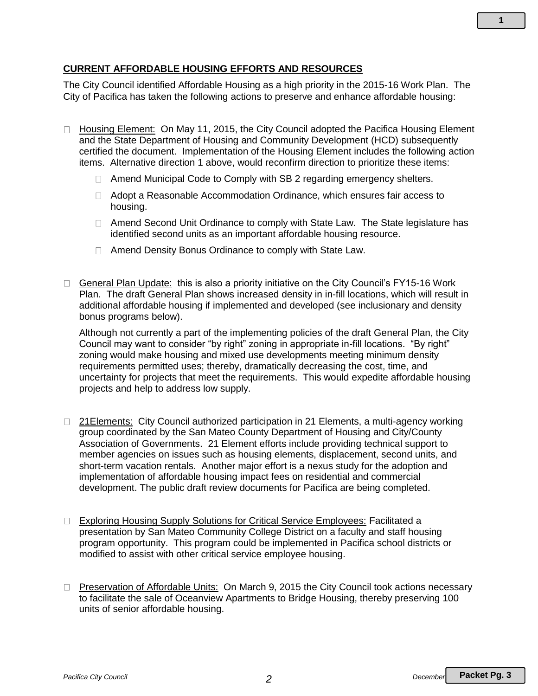# **CURRENT AFFORDABLE HOUSING EFFORTS AND RESOURCES**

The City Council identified Affordable Housing as a high priority in the 2015-16 Work Plan. The City of Pacifica has taken the following actions to preserve and enhance affordable housing:

- □ Housing Element: On May 11, 2015, the City Council adopted the Pacifica Housing Element and the State Department of Housing and Community Development (HCD) subsequently certified the document. Implementation of the Housing Element includes the following action items. Alternative direction 1 above, would reconfirm direction to prioritize these items:
	- $\Box$  Amend Municipal Code to Comply with SB 2 regarding emergency shelters.
	- Adopt a Reasonable Accommodation Ordinance, which ensures fair access to housing.
	- □ Amend Second Unit Ordinance to comply with State Law. The State legislature has identified second units as an important affordable housing resource.
	- □ Amend Density Bonus Ordinance to comply with State Law.
- General Plan Update: this is also a priority initiative on the City Council's FY15-16 Work Plan. The draft General Plan shows increased density in in-fill locations, which will result in additional affordable housing if implemented and developed (see inclusionary and density bonus programs below).

Although not currently a part of the implementing policies of the draft General Plan, the City Council may want to consider "by right" zoning in appropriate in-fill locations. "By right" zoning would make housing and mixed use developments meeting minimum density requirements permitted uses; thereby, dramatically decreasing the cost, time, and uncertainty for projects that meet the requirements. This would expedite affordable housing projects and help to address low supply.

- □ 21 Elements: City Council authorized participation in 21 Elements, a multi-agency working group coordinated by the San Mateo County Department of Housing and City/County Association of Governments. 21 Element efforts include providing technical support to member agencies on issues such as housing elements, displacement, second units, and short-term vacation rentals. Another major effort is a nexus study for the adoption and implementation of affordable housing impact fees on residential and commercial development. The public draft review documents for Pacifica are being completed.
- □ Exploring Housing Supply Solutions for Critical Service Employees: Facilitated a presentation by San Mateo Community College District on a faculty and staff housing program opportunity. This program could be implemented in Pacifica school districts or modified to assist with other critical service employee housing.
- □ Preservation of Affordable Units: On March 9, 2015 the City Council took actions necessary to facilitate the sale of Oceanview Apartments to Bridge Housing, thereby preserving 100 units of senior affordable housing.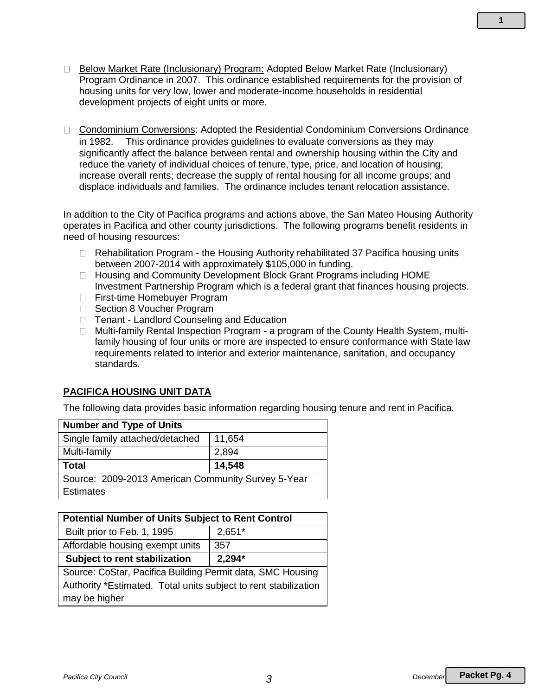- □ Below Market Rate (Inclusionary) Program: Adopted Below Market Rate (Inclusionary) Program Ordinance in 2007. This ordinance established requirements for the provision of housing units for very low, lower and moderate-income households in residential development projects of eight units or more.
- □ Condominium Conversions: Adopted the Residential Condominium Conversions Ordinance in 1982. This ordinance provides guidelines to evaluate conversions as they may significantly affect the balance between rental and ownership housing within the City and reduce the variety of individual choices of tenure, type, price, and location of housing; increase overall rents; decrease the supply of rental housing for all income groups; and displace individuals and families. The ordinance includes tenant relocation assistance.

In addition to the City of Pacifica programs and actions above, the San Mateo Housing Authority operates in Pacifica and other county jurisdictions. The following programs benefit residents in need of housing resources:

- $\Box$  Rehabilitation Program the Housing Authority rehabilitated 37 Pacifica housing units between 2007-2014 with approximately \$105,000 in funding.
- □ Housing and Community Development Block Grant Programs including HOME Investment Partnership Program which is a federal grant that finances housing projects.
- □ First-time Homebuyer Program
- □ Section 8 Voucher Program
- □ Tenant Landlord Counseling and Education
- □ Multi-family Rental Inspection Program a program of the County Health System, multifamily housing of four units or more are inspected to ensure conformance with State law requirements related to interior and exterior maintenance, sanitation, and occupancy standards.

# **PACIFICA HOUSING UNIT DATA**

The following data provides basic information regarding housing tenure and rent in Pacifica.

| <b>Number and Type of Units</b>                    |        |
|----------------------------------------------------|--------|
| Single family attached/detached                    | 11,654 |
| Multi-family                                       | 2,894  |
| <b>Total</b>                                       | 14,548 |
| Source: 2009-2013 American Community Survey 5-Year |        |
| <b>Estimates</b>                                   |        |

| <b>Potential Number of Units Subject to Rent Control</b>        |          |
|-----------------------------------------------------------------|----------|
| Built prior to Feb. 1, 1995                                     | $2,651*$ |
| Affordable housing exempt units                                 | 357      |
| Subject to rent stabilization                                   | $2,294*$ |
| Source: CoStar, Pacifica Building Permit data, SMC Housing      |          |
| Authority *Estimated. Total units subject to rent stabilization |          |
| may be higher                                                   |          |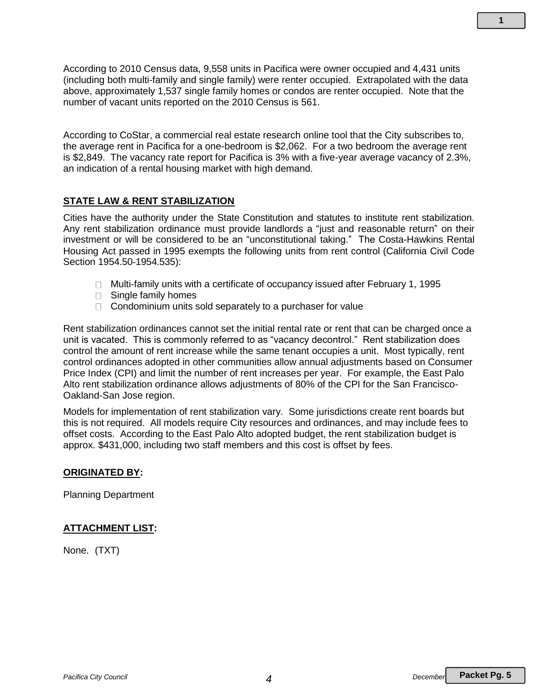According to 2010 Census data, 9,558 units in Pacifica were owner occupied and 4,431 units (including both multi-family and single family) were renter occupied. Extrapolated with the data above, approximately 1,537 single family homes or condos are renter occupied. Note that the number of vacant units reported on the 2010 Census is 561.

According to CoStar, a commercial real estate research online tool that the City subscribes to, the average rent in Pacifica for a one-bedroom is \$2,062. For a two bedroom the average rent is \$2,849. The vacancy rate report for Pacifica is 3% with a five-year average vacancy of 2.3%, an indication of a rental housing market with high demand.

#### **STATE LAW & RENT STABILIZATION**

Cities have the authority under the State Constitution and statutes to institute rent stabilization. Any rent stabilization ordinance must provide landlords a "just and reasonable return" on their investment or will be considered to be an "unconstitutional taking." The Costa-Hawkins Rental Housing Act passed in 1995 exempts the following units from rent control (California Civil Code Section 1954.50-1954.535):

- $\Box$  Multi-family units with a certificate of occupancy issued after February 1, 1995
- □ Single family homes
- $\Box$  Condominium units sold separately to a purchaser for value

Rent stabilization ordinances cannot set the initial rental rate or rent that can be charged once a unit is vacated. This is commonly referred to as "vacancy decontrol." Rent stabilization does control the amount of rent increase while the same tenant occupies a unit. Most typically, rent control ordinances adopted in other communities allow annual adjustments based on Consumer Price Index (CPI) and limit the number of rent increases per year. For example, the East Palo Alto rent stabilization ordinance allows adjustments of 80% of the CPI for the San Francisco-Oakland-San Jose region.

Models for implementation of rent stabilization vary. Some jurisdictions create rent boards but this is not required. All models require City resources and ordinances, and may include fees to offset costs. According to the East Palo Alto adopted budget, the rent stabilization budget is approx. \$431,000, including two staff members and this cost is offset by fees.

#### **ORIGINATED BY:**

Planning Department

#### **ATTACHMENT LIST:**

None. (TXT)